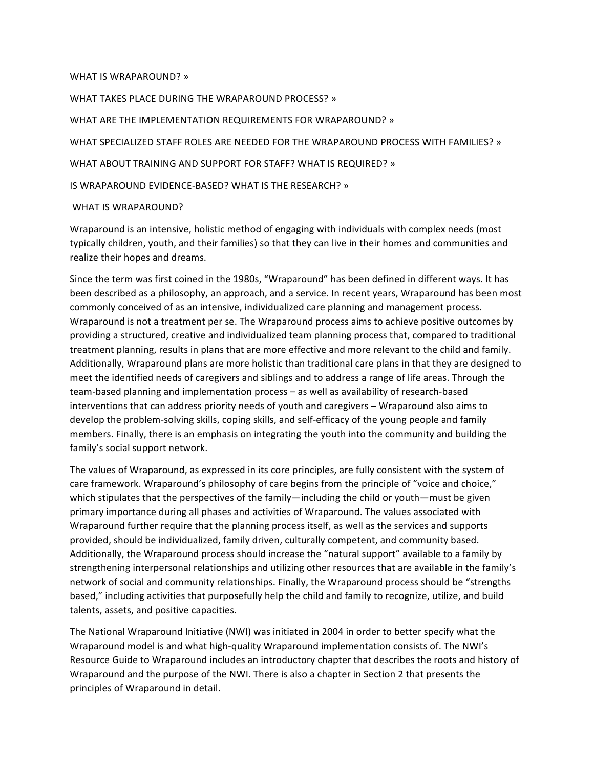#### WHAT IS WRAPAROUND? »

WHAT TAKES PLACE DURING THE WRAPAROUND PROCESS? » WHAT ARE THE IMPLEMENTATION REQUIREMENTS FOR WRAPAROUND? » WHAT SPECIALIZED STAFF ROLES ARE NEEDED FOR THE WRAPAROUND PROCESS WITH FAMILIES? » WHAT ABOUT TRAINING AND SUPPORT FOR STAFF? WHAT IS REQUIRED? » IS WRAPAROUND EVIDENCE-BASED? WHAT IS THE RESEARCH? » WHAT IS WRAPAROUND?

# Wraparound is an intensive, holistic method of engaging with individuals with complex needs (most typically children, youth, and their families) so that they can live in their homes and communities and realize their hopes and dreams.

Since the term was first coined in the 1980s, "Wraparound" has been defined in different ways. It has been described as a philosophy, an approach, and a service. In recent years, Wraparound has been most commonly conceived of as an intensive, individualized care planning and management process. Wraparound is not a treatment per se. The Wraparound process aims to achieve positive outcomes by providing a structured, creative and individualized team planning process that, compared to traditional treatment planning, results in plans that are more effective and more relevant to the child and family. Additionally, Wraparound plans are more holistic than traditional care plans in that they are designed to meet the identified needs of caregivers and siblings and to address a range of life areas. Through the team-based planning and implementation process - as well as availability of research-based interventions that can address priority needs of youth and caregivers – Wraparound also aims to develop the problem-solving skills, coping skills, and self-efficacy of the young people and family members. Finally, there is an emphasis on integrating the youth into the community and building the family's social support network.

The values of Wraparound, as expressed in its core principles, are fully consistent with the system of care framework. Wraparound's philosophy of care begins from the principle of "voice and choice," which stipulates that the perspectives of the family—including the child or youth—must be given primary importance during all phases and activities of Wraparound. The values associated with Wraparound further require that the planning process itself, as well as the services and supports provided, should be individualized, family driven, culturally competent, and community based. Additionally, the Wraparound process should increase the "natural support" available to a family by strengthening interpersonal relationships and utilizing other resources that are available in the family's network of social and community relationships. Finally, the Wraparound process should be "strengths based," including activities that purposefully help the child and family to recognize, utilize, and build talents, assets, and positive capacities.

The National Wraparound Initiative (NWI) was initiated in 2004 in order to better specify what the Wraparound model is and what high-quality Wraparound implementation consists of. The NWI's Resource Guide to Wraparound includes an introductory chapter that describes the roots and history of Wraparound and the purpose of the NWI. There is also a chapter in Section 2 that presents the principles of Wraparound in detail.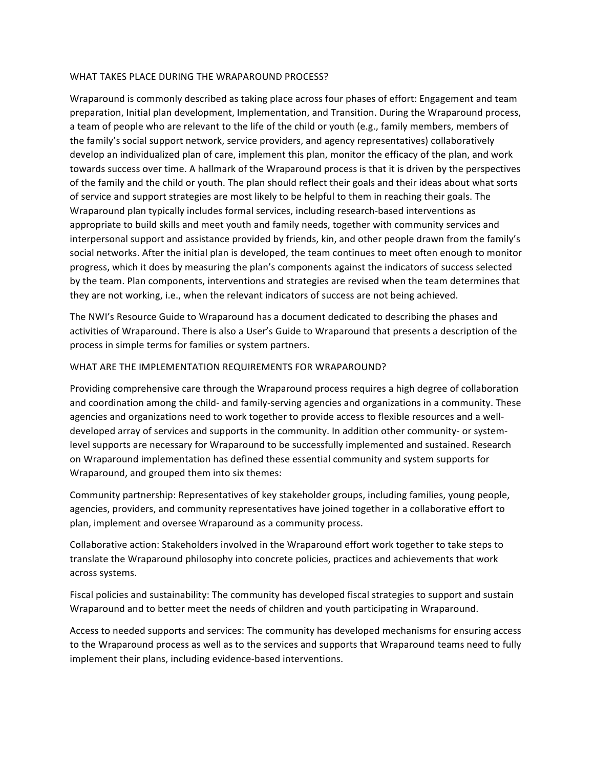### WHAT TAKES PLACE DURING THE WRAPAROUND PROCESS?

Wraparound is commonly described as taking place across four phases of effort: Engagement and team preparation, Initial plan development, Implementation, and Transition. During the Wraparound process, a team of people who are relevant to the life of the child or youth (e.g., family members, members of the family's social support network, service providers, and agency representatives) collaboratively develop an individualized plan of care, implement this plan, monitor the efficacy of the plan, and work towards success over time. A hallmark of the Wraparound process is that it is driven by the perspectives of the family and the child or youth. The plan should reflect their goals and their ideas about what sorts of service and support strategies are most likely to be helpful to them in reaching their goals. The Wraparound plan typically includes formal services, including research-based interventions as appropriate to build skills and meet youth and family needs, together with community services and interpersonal support and assistance provided by friends, kin, and other people drawn from the family's social networks. After the initial plan is developed, the team continues to meet often enough to monitor progress, which it does by measuring the plan's components against the indicators of success selected by the team. Plan components, interventions and strategies are revised when the team determines that they are not working, i.e., when the relevant indicators of success are not being achieved.

The NWI's Resource Guide to Wraparound has a document dedicated to describing the phases and activities of Wraparound. There is also a User's Guide to Wraparound that presents a description of the process in simple terms for families or system partners.

### WHAT ARE THE IMPLEMENTATION REQUIREMENTS FOR WRAPAROUND?

Providing comprehensive care through the Wraparound process requires a high degree of collaboration and coordination among the child- and family-serving agencies and organizations in a community. These agencies and organizations need to work together to provide access to flexible resources and a welldeveloped array of services and supports in the community. In addition other community- or systemlevel supports are necessary for Wraparound to be successfully implemented and sustained. Research on Wraparound implementation has defined these essential community and system supports for Wraparound, and grouped them into six themes:

Community partnership: Representatives of key stakeholder groups, including families, young people, agencies, providers, and community representatives have joined together in a collaborative effort to plan, implement and oversee Wraparound as a community process.

Collaborative action: Stakeholders involved in the Wraparound effort work together to take steps to translate the Wraparound philosophy into concrete policies, practices and achievements that work across systems.

Fiscal policies and sustainability: The community has developed fiscal strategies to support and sustain Wraparound and to better meet the needs of children and youth participating in Wraparound.

Access to needed supports and services: The community has developed mechanisms for ensuring access to the Wraparound process as well as to the services and supports that Wraparound teams need to fully implement their plans, including evidence-based interventions.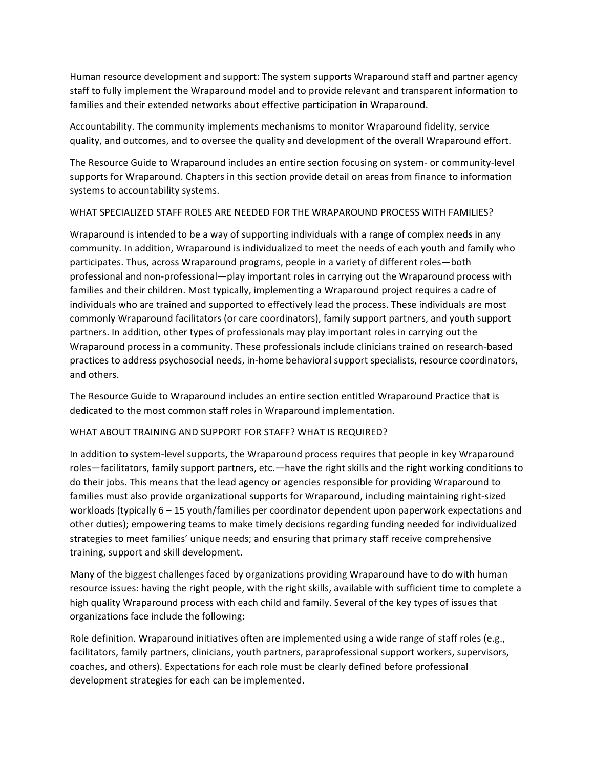Human resource development and support: The system supports Wraparound staff and partner agency staff to fully implement the Wraparound model and to provide relevant and transparent information to families and their extended networks about effective participation in Wraparound.

Accountability. The community implements mechanisms to monitor Wraparound fidelity, service quality, and outcomes, and to oversee the quality and development of the overall Wraparound effort.

The Resource Guide to Wraparound includes an entire section focusing on system- or community-level supports for Wraparound. Chapters in this section provide detail on areas from finance to information systems to accountability systems.

## WHAT SPECIALIZED STAFF ROLES ARE NEEDED FOR THE WRAPAROUND PROCESS WITH FAMILIES?

Wraparound is intended to be a way of supporting individuals with a range of complex needs in any community. In addition, Wraparound is individualized to meet the needs of each youth and family who participates. Thus, across Wraparound programs, people in a variety of different roles—both professional and non-professional—play important roles in carrying out the Wraparound process with families and their children. Most typically, implementing a Wraparound project requires a cadre of individuals who are trained and supported to effectively lead the process. These individuals are most commonly Wraparound facilitators (or care coordinators), family support partners, and youth support partners. In addition, other types of professionals may play important roles in carrying out the Wraparound process in a community. These professionals include clinicians trained on research-based practices to address psychosocial needs, in-home behavioral support specialists, resource coordinators, and others.

The Resource Guide to Wraparound includes an entire section entitled Wraparound Practice that is dedicated to the most common staff roles in Wraparound implementation.

## WHAT ABOUT TRAINING AND SUPPORT FOR STAFF? WHAT IS REQUIRED?

In addition to system-level supports, the Wraparound process requires that people in key Wraparound roles—facilitators, family support partners, etc.—have the right skills and the right working conditions to do their jobs. This means that the lead agency or agencies responsible for providing Wraparound to families must also provide organizational supports for Wraparound, including maintaining right-sized workloads (typically 6 - 15 youth/families per coordinator dependent upon paperwork expectations and other duties); empowering teams to make timely decisions regarding funding needed for individualized strategies to meet families' unique needs; and ensuring that primary staff receive comprehensive training, support and skill development.

Many of the biggest challenges faced by organizations providing Wraparound have to do with human resource issues: having the right people, with the right skills, available with sufficient time to complete a high quality Wraparound process with each child and family. Several of the key types of issues that organizations face include the following:

Role definition. Wraparound initiatives often are implemented using a wide range of staff roles (e.g., facilitators, family partners, clinicians, youth partners, paraprofessional support workers, supervisors, coaches, and others). Expectations for each role must be clearly defined before professional development strategies for each can be implemented.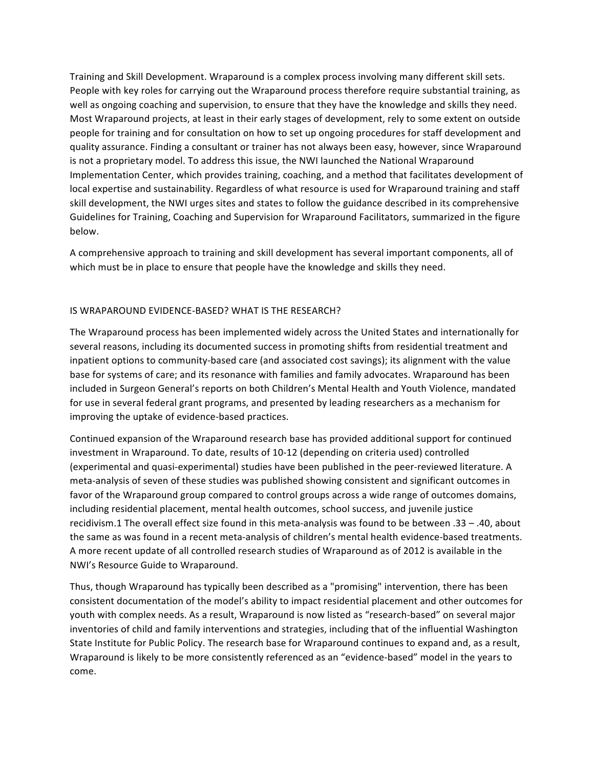Training and Skill Development. Wraparound is a complex process involving many different skill sets. People with key roles for carrying out the Wraparound process therefore require substantial training, as well as ongoing coaching and supervision, to ensure that they have the knowledge and skills they need. Most Wraparound projects, at least in their early stages of development, rely to some extent on outside people for training and for consultation on how to set up ongoing procedures for staff development and quality assurance. Finding a consultant or trainer has not always been easy, however, since Wraparound is not a proprietary model. To address this issue, the NWI launched the National Wraparound Implementation Center, which provides training, coaching, and a method that facilitates development of local expertise and sustainability. Regardless of what resource is used for Wraparound training and staff skill development, the NWI urges sites and states to follow the guidance described in its comprehensive Guidelines for Training, Coaching and Supervision for Wraparound Facilitators, summarized in the figure below.

A comprehensive approach to training and skill development has several important components, all of which must be in place to ensure that people have the knowledge and skills they need.

### IS WRAPAROUND EVIDENCE-BASED? WHAT IS THE RESEARCH?

The Wraparound process has been implemented widely across the United States and internationally for several reasons, including its documented success in promoting shifts from residential treatment and inpatient options to community-based care (and associated cost savings); its alignment with the value base for systems of care; and its resonance with families and family advocates. Wraparound has been included in Surgeon General's reports on both Children's Mental Health and Youth Violence, mandated for use in several federal grant programs, and presented by leading researchers as a mechanism for improving the uptake of evidence-based practices.

Continued expansion of the Wraparound research base has provided additional support for continued investment in Wraparound. To date, results of 10-12 (depending on criteria used) controlled (experimental and quasi-experimental) studies have been published in the peer-reviewed literature. A meta-analysis of seven of these studies was published showing consistent and significant outcomes in favor of the Wraparound group compared to control groups across a wide range of outcomes domains, including residential placement, mental health outcomes, school success, and juvenile justice recidivism.1 The overall effect size found in this meta-analysis was found to be between .33 - .40, about the same as was found in a recent meta-analysis of children's mental health evidence-based treatments. A more recent update of all controlled research studies of Wraparound as of 2012 is available in the NWI's Resource Guide to Wraparound.

Thus, though Wraparound has typically been described as a "promising" intervention, there has been consistent documentation of the model's ability to impact residential placement and other outcomes for youth with complex needs. As a result, Wraparound is now listed as "research-based" on several major inventories of child and family interventions and strategies, including that of the influential Washington State Institute for Public Policy. The research base for Wraparound continues to expand and, as a result, Wraparound is likely to be more consistently referenced as an "evidence-based" model in the years to come.